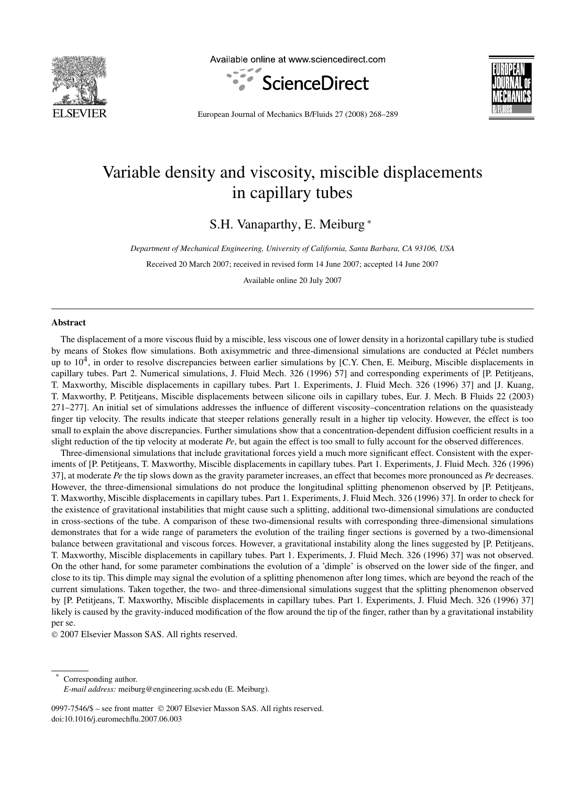

Available online at www.sciencedirect.com





European Journal of Mechanics B/Fluids 27 (2008) 268–289

# Variable density and viscosity, miscible displacements in capillary tubes

S.H. Vanaparthy, E. Meiburg <sup>∗</sup>

*Department of Mechanical Engineering, University of California, Santa Barbara, CA 93106, USA*

Received 20 March 2007; received in revised form 14 June 2007; accepted 14 June 2007

Available online 20 July 2007

#### **Abstract**

The displacement of a more viscous fluid by a miscible, less viscous one of lower density in a horizontal capillary tube is studied by means of Stokes flow simulations. Both axisymmetric and three-dimensional simulations are conducted at Péclet numbers up to  $10<sup>4</sup>$ , in order to resolve discrepancies between earlier simulations by [C.Y. Chen, E. Meiburg, Miscible displacements in capillary tubes. Part 2. Numerical simulations, J. Fluid Mech. 326 (1996) 57] and corresponding experiments of [P. Petitjeans, T. Maxworthy, Miscible displacements in capillary tubes. Part 1. Experiments, J. Fluid Mech. 326 (1996) 37] and [J. Kuang, T. Maxworthy, P. Petitjeans, Miscible displacements between silicone oils in capillary tubes, Eur. J. Mech. B Fluids 22 (2003) 271–277]. An initial set of simulations addresses the influence of different viscosity–concentration relations on the quasisteady finger tip velocity. The results indicate that steeper relations generally result in a higher tip velocity. However, the effect is too small to explain the above discrepancies. Further simulations show that a concentration-dependent diffusion coefficient results in a slight reduction of the tip velocity at moderate *Pe*, but again the effect is too small to fully account for the observed differences.

Three-dimensional simulations that include gravitational forces yield a much more significant effect. Consistent with the experiments of [P. Petitjeans, T. Maxworthy, Miscible displacements in capillary tubes. Part 1. Experiments, J. Fluid Mech. 326 (1996) 37], at moderate *Pe* the tip slows down as the gravity parameter increases, an effect that becomes more pronounced as *Pe* decreases. However, the three-dimensional simulations do not produce the longitudinal splitting phenomenon observed by [P. Petitjeans, T. Maxworthy, Miscible displacements in capillary tubes. Part 1. Experiments, J. Fluid Mech. 326 (1996) 37]. In order to check for the existence of gravitational instabilities that might cause such a splitting, additional two-dimensional simulations are conducted in cross-sections of the tube. A comparison of these two-dimensional results with corresponding three-dimensional simulations demonstrates that for a wide range of parameters the evolution of the trailing finger sections is governed by a two-dimensional balance between gravitational and viscous forces. However, a gravitational instability along the lines suggested by [P. Petitjeans, T. Maxworthy, Miscible displacements in capillary tubes. Part 1. Experiments, J. Fluid Mech. 326 (1996) 37] was not observed. On the other hand, for some parameter combinations the evolution of a 'dimple' is observed on the lower side of the finger, and close to its tip. This dimple may signal the evolution of a splitting phenomenon after long times, which are beyond the reach of the current simulations. Taken together, the two- and three-dimensional simulations suggest that the splitting phenomenon observed by [P. Petitjeans, T. Maxworthy, Miscible displacements in capillary tubes. Part 1. Experiments, J. Fluid Mech. 326 (1996) 37] likely is caused by the gravity-induced modification of the flow around the tip of the finger, rather than by a gravitational instability per se.

© 2007 Elsevier Masson SAS. All rights reserved.

Corresponding author.

0997-7546/\$ – see front matter © 2007 Elsevier Masson SAS. All rights reserved. doi:10.1016/j.euromechflu.2007.06.003

*E-mail address:* meiburg@engineering.ucsb.edu (E. Meiburg).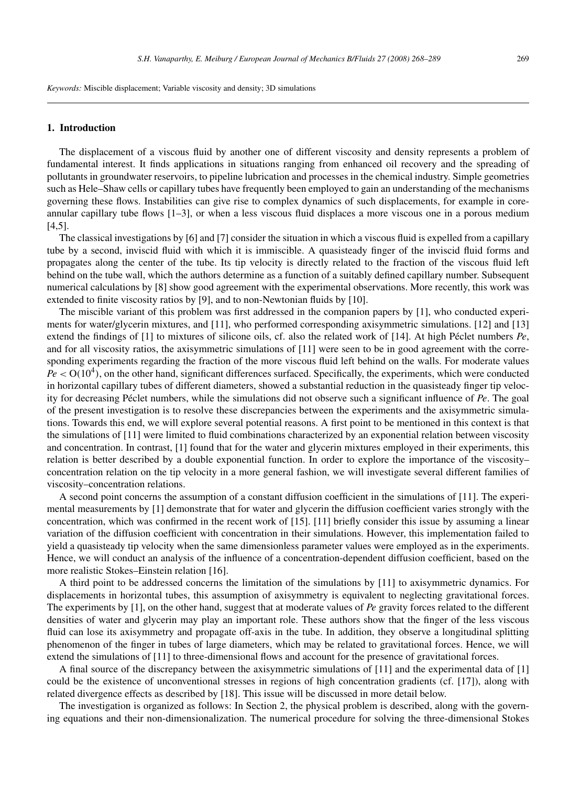*Keywords:* Miscible displacement; Variable viscosity and density; 3D simulations

# **1. Introduction**

The displacement of a viscous fluid by another one of different viscosity and density represents a problem of fundamental interest. It finds applications in situations ranging from enhanced oil recovery and the spreading of pollutants in groundwater reservoirs, to pipeline lubrication and processes in the chemical industry. Simple geometries such as Hele–Shaw cells or capillary tubes have frequently been employed to gain an understanding of the mechanisms governing these flows. Instabilities can give rise to complex dynamics of such displacements, for example in coreannular capillary tube flows [1–3], or when a less viscous fluid displaces a more viscous one in a porous medium  $[4,5]$ .

The classical investigations by [6] and [7] consider the situation in which a viscous fluid is expelled from a capillary tube by a second, inviscid fluid with which it is immiscible. A quasisteady finger of the inviscid fluid forms and propagates along the center of the tube. Its tip velocity is directly related to the fraction of the viscous fluid left behind on the tube wall, which the authors determine as a function of a suitably defined capillary number. Subsequent numerical calculations by [8] show good agreement with the experimental observations. More recently, this work was extended to finite viscosity ratios by [9], and to non-Newtonian fluids by [10].

The miscible variant of this problem was first addressed in the companion papers by [1], who conducted experiments for water/glycerin mixtures, and [11], who performed corresponding axisymmetric simulations. [12] and [13] extend the findings of [1] to mixtures of silicone oils, cf. also the related work of [14]. At high Péclet numbers *Pe*, and for all viscosity ratios, the axisymmetric simulations of [11] were seen to be in good agreement with the corresponding experiments regarding the fraction of the more viscous fluid left behind on the walls. For moderate values  $Pe < O(10^4)$ , on the other hand, significant differences surfaced. Specifically, the experiments, which were conducted in horizontal capillary tubes of different diameters, showed a substantial reduction in the quasisteady finger tip velocity for decreasing Péclet numbers, while the simulations did not observe such a significant influence of *Pe*. The goal of the present investigation is to resolve these discrepancies between the experiments and the axisymmetric simulations. Towards this end, we will explore several potential reasons. A first point to be mentioned in this context is that the simulations of [11] were limited to fluid combinations characterized by an exponential relation between viscosity and concentration. In contrast, [1] found that for the water and glycerin mixtures employed in their experiments, this relation is better described by a double exponential function. In order to explore the importance of the viscosity– concentration relation on the tip velocity in a more general fashion, we will investigate several different families of viscosity–concentration relations.

A second point concerns the assumption of a constant diffusion coefficient in the simulations of [11]. The experimental measurements by [1] demonstrate that for water and glycerin the diffusion coefficient varies strongly with the concentration, which was confirmed in the recent work of [15]. [11] briefly consider this issue by assuming a linear variation of the diffusion coefficient with concentration in their simulations. However, this implementation failed to yield a quasisteady tip velocity when the same dimensionless parameter values were employed as in the experiments. Hence, we will conduct an analysis of the influence of a concentration-dependent diffusion coefficient, based on the more realistic Stokes–Einstein relation [16].

A third point to be addressed concerns the limitation of the simulations by [11] to axisymmetric dynamics. For displacements in horizontal tubes, this assumption of axisymmetry is equivalent to neglecting gravitational forces. The experiments by [1], on the other hand, suggest that at moderate values of *Pe* gravity forces related to the different densities of water and glycerin may play an important role. These authors show that the finger of the less viscous fluid can lose its axisymmetry and propagate off-axis in the tube. In addition, they observe a longitudinal splitting phenomenon of the finger in tubes of large diameters, which may be related to gravitational forces. Hence, we will extend the simulations of [11] to three-dimensional flows and account for the presence of gravitational forces.

A final source of the discrepancy between the axisymmetric simulations of [11] and the experimental data of [1] could be the existence of unconventional stresses in regions of high concentration gradients (cf. [17]), along with related divergence effects as described by [18]. This issue will be discussed in more detail below.

The investigation is organized as follows: In Section 2, the physical problem is described, along with the governing equations and their non-dimensionalization. The numerical procedure for solving the three-dimensional Stokes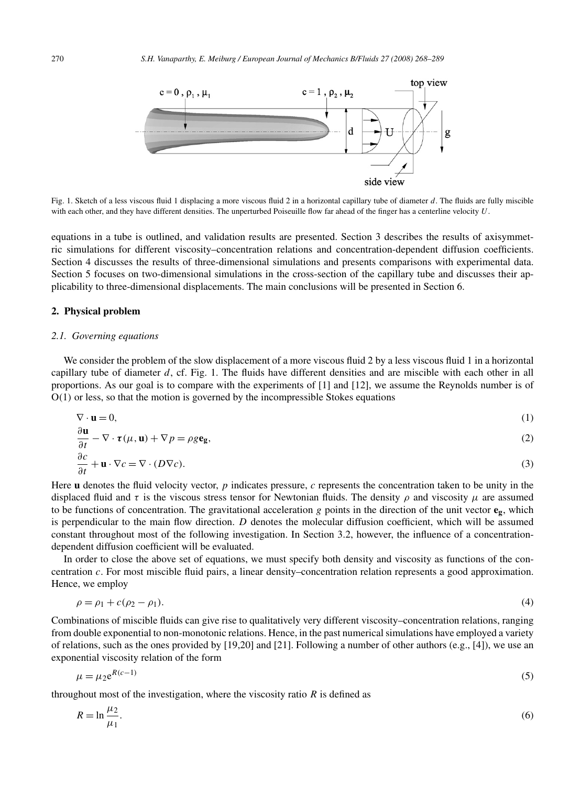

Fig. 1. Sketch of a less viscous fluid 1 displacing a more viscous fluid 2 in a horizontal capillary tube of diameter *d*. The fluids are fully miscible with each other, and they have different densities. The unperturbed Poiseuille flow far ahead of the finger has a centerline velocity *U*.

equations in a tube is outlined, and validation results are presented. Section 3 describes the results of axisymmetric simulations for different viscosity–concentration relations and concentration-dependent diffusion coefficients. Section 4 discusses the results of three-dimensional simulations and presents comparisons with experimental data. Section 5 focuses on two-dimensional simulations in the cross-section of the capillary tube and discusses their applicability to three-dimensional displacements. The main conclusions will be presented in Section 6.

# **2. Physical problem**

*∂***u**

## *2.1. Governing equations*

We consider the problem of the slow displacement of a more viscous fluid 2 by a less viscous fluid 1 in a horizontal capillary tube of diameter *d*, cf. Fig. 1. The fluids have different densities and are miscible with each other in all proportions. As our goal is to compare with the experiments of [1] and [12], we assume the Reynolds number is of O*(*1*)* or less, so that the motion is governed by the incompressible Stokes equations

$$
\nabla \cdot \mathbf{u} = 0,\tag{1}
$$

$$
\frac{\partial \mathbf{u}}{\partial t} - \nabla \cdot \boldsymbol{\tau}(\mu, \mathbf{u}) + \nabla p = \rho g \mathbf{e_g},\tag{2}
$$

$$
\frac{\partial c}{\partial t} + \mathbf{u} \cdot \nabla c = \nabla \cdot (D \nabla c). \tag{3}
$$

Here **u** denotes the fluid velocity vector, *p* indicates pressure, *c* represents the concentration taken to be unity in the displaced fluid and  $\tau$  is the viscous stress tensor for Newtonian fluids. The density  $\rho$  and viscosity  $\mu$  are assumed to be functions of concentration. The gravitational acceleration  $g$  points in the direction of the unit vector  $e_g$ , which is perpendicular to the main flow direction. *D* denotes the molecular diffusion coefficient, which will be assumed constant throughout most of the following investigation. In Section 3.2, however, the influence of a concentrationdependent diffusion coefficient will be evaluated.

In order to close the above set of equations, we must specify both density and viscosity as functions of the concentration *c*. For most miscible fluid pairs, a linear density–concentration relation represents a good approximation. Hence, we employ

$$
\rho = \rho_1 + c(\rho_2 - \rho_1). \tag{4}
$$

Combinations of miscible fluids can give rise to qualitatively very different viscosity–concentration relations, ranging from double exponential to non-monotonic relations. Hence, in the past numerical simulations have employed a variety of relations, such as the ones provided by [19,20] and [21]. Following a number of other authors (e.g., [4]), we use an exponential viscosity relation of the form

$$
\mu = \mu_2 e^{R(c-1)} \tag{5}
$$

throughout most of the investigation, where the viscosity ratio  $R$  is defined as

$$
R = \ln \frac{\mu_2}{\mu_1}.\tag{6}
$$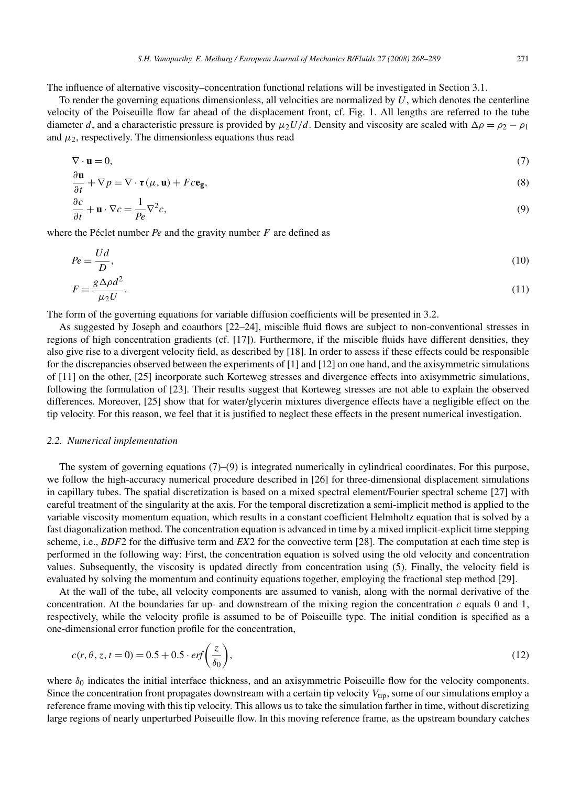The influence of alternative viscosity–concentration functional relations will be investigated in Section 3.1.

To render the governing equations dimensionless, all velocities are normalized by  $U$ , which denotes the centerline velocity of the Poiseuille flow far ahead of the displacement front, cf. Fig. 1. All lengths are referred to the tube diameter *d*, and a characteristic pressure is provided by  $\mu_2 U/d$ . Density and viscosity are scaled with  $\Delta \rho = \rho_2 - \rho_1$ and  $\mu_2$ , respectively. The dimensionless equations thus read

$$
\nabla \cdot \mathbf{u} = 0,\tag{7}
$$

$$
\frac{\partial \mathbf{u}}{\partial t} + \nabla p = \nabla \cdot \boldsymbol{\tau}(\mu, \mathbf{u}) + Fc\mathbf{e_g},\tag{8}
$$

$$
\frac{\partial c}{\partial t} + \mathbf{u} \cdot \nabla c = \frac{1}{Pe} \nabla^2 c,\tag{9}
$$

where the Péclet number *Pe* and the gravity number *F* are defined as

$$
Pe = \frac{Ud}{D},\tag{10}
$$

$$
F = \frac{g\Delta\rho d^2}{\mu_2 U}.\tag{11}
$$

The form of the governing equations for variable diffusion coefficients will be presented in 3.2.

As suggested by Joseph and coauthors [22–24], miscible fluid flows are subject to non-conventional stresses in regions of high concentration gradients (cf. [17]). Furthermore, if the miscible fluids have different densities, they also give rise to a divergent velocity field, as described by [18]. In order to assess if these effects could be responsible for the discrepancies observed between the experiments of [1] and [12] on one hand, and the axisymmetric simulations of [11] on the other, [25] incorporate such Korteweg stresses and divergence effects into axisymmetric simulations, following the formulation of [23]. Their results suggest that Korteweg stresses are not able to explain the observed differences. Moreover, [25] show that for water/glycerin mixtures divergence effects have a negligible effect on the tip velocity. For this reason, we feel that it is justified to neglect these effects in the present numerical investigation.

# *2.2. Numerical implementation*

*∂***u**

The system of governing equations (7)–(9) is integrated numerically in cylindrical coordinates. For this purpose, we follow the high-accuracy numerical procedure described in [26] for three-dimensional displacement simulations in capillary tubes. The spatial discretization is based on a mixed spectral element/Fourier spectral scheme [27] with careful treatment of the singularity at the axis. For the temporal discretization a semi-implicit method is applied to the variable viscosity momentum equation, which results in a constant coefficient Helmholtz equation that is solved by a fast diagonalization method. The concentration equation is advanced in time by a mixed implicit-explicit time stepping scheme, i.e., *BDF*2 for the diffusive term and *EX*2 for the convective term [28]. The computation at each time step is performed in the following way: First, the concentration equation is solved using the old velocity and concentration values. Subsequently, the viscosity is updated directly from concentration using (5). Finally, the velocity field is evaluated by solving the momentum and continuity equations together, employing the fractional step method [29].

At the wall of the tube, all velocity components are assumed to vanish, along with the normal derivative of the concentration. At the boundaries far up- and downstream of the mixing region the concentration  $c$  equals 0 and 1, respectively, while the velocity profile is assumed to be of Poiseuille type. The initial condition is specified as a one-dimensional error function profile for the concentration,

$$
c(r, \theta, z, t = 0) = 0.5 + 0.5 \cdot erf\left(\frac{z}{\delta_0}\right),\tag{12}
$$

where  $\delta_0$  indicates the initial interface thickness, and an axisymmetric Poiseuille flow for the velocity components. Since the concentration front propagates downstream with a certain tip velocity  $V_{\text{tip}}$ , some of our simulations employ a reference frame moving with this tip velocity. This allows us to take the simulation farther in time, without discretizing large regions of nearly unperturbed Poiseuille flow. In this moving reference frame, as the upstream boundary catches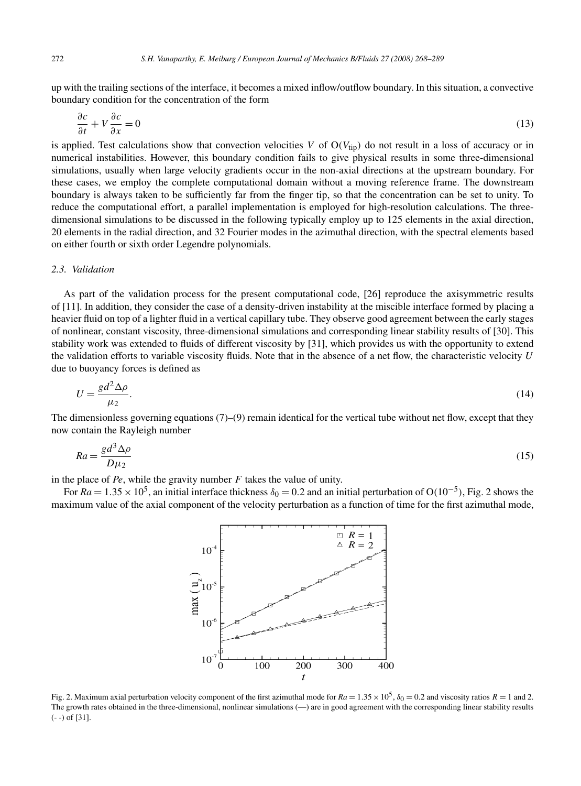up with the trailing sections of the interface, it becomes a mixed inflow/outflow boundary. In this situation, a convective boundary condition for the concentration of the form

$$
\frac{\partial c}{\partial t} + V \frac{\partial c}{\partial x} = 0 \tag{13}
$$

is applied. Test calculations show that convection velocities *V* of  $O(V_{tip})$  do not result in a loss of accuracy or in numerical instabilities. However, this boundary condition fails to give physical results in some three-dimensional simulations, usually when large velocity gradients occur in the non-axial directions at the upstream boundary. For these cases, we employ the complete computational domain without a moving reference frame. The downstream boundary is always taken to be sufficiently far from the finger tip, so that the concentration can be set to unity. To reduce the computational effort, a parallel implementation is employed for high-resolution calculations. The threedimensional simulations to be discussed in the following typically employ up to 125 elements in the axial direction, 20 elements in the radial direction, and 32 Fourier modes in the azimuthal direction, with the spectral elements based on either fourth or sixth order Legendre polynomials.

## *2.3. Validation*

As part of the validation process for the present computational code, [26] reproduce the axisymmetric results of [11]. In addition, they consider the case of a density-driven instability at the miscible interface formed by placing a heavier fluid on top of a lighter fluid in a vertical capillary tube. They observe good agreement between the early stages of nonlinear, constant viscosity, three-dimensional simulations and corresponding linear stability results of [30]. This stability work was extended to fluids of different viscosity by [31], which provides us with the opportunity to extend the validation efforts to variable viscosity fluids. Note that in the absence of a net flow, the characteristic velocity *U* due to buoyancy forces is defined as

$$
U = \frac{gd^2 \Delta \rho}{\mu_2}.\tag{14}
$$

The dimensionless governing equations  $(7)$ – $(9)$  remain identical for the vertical tube without net flow, except that they now contain the Rayleigh number

$$
Ra = \frac{gd^3 \Delta \rho}{D\mu_2} \tag{15}
$$

in the place of *Pe*, while the gravity number *F* takes the value of unity.

For  $Ra = 1.35 \times 10^5$ , an initial interface thickness  $\delta_0 = 0.2$  and an initial perturbation of O(10<sup>-5</sup>), Fig. 2 shows the maximum value of the axial component of the velocity perturbation as a function of time for the first azimuthal mode,



Fig. 2. Maximum axial perturbation velocity component of the first azimuthal mode for  $Ra = 1.35 \times 10^5$ ,  $\delta_0 = 0.2$  and viscosity ratios  $R = 1$  and 2. The growth rates obtained in the three-dimensional, nonlinear simulations (—) are in good agreement with the corresponding linear stability results (- -) of [31].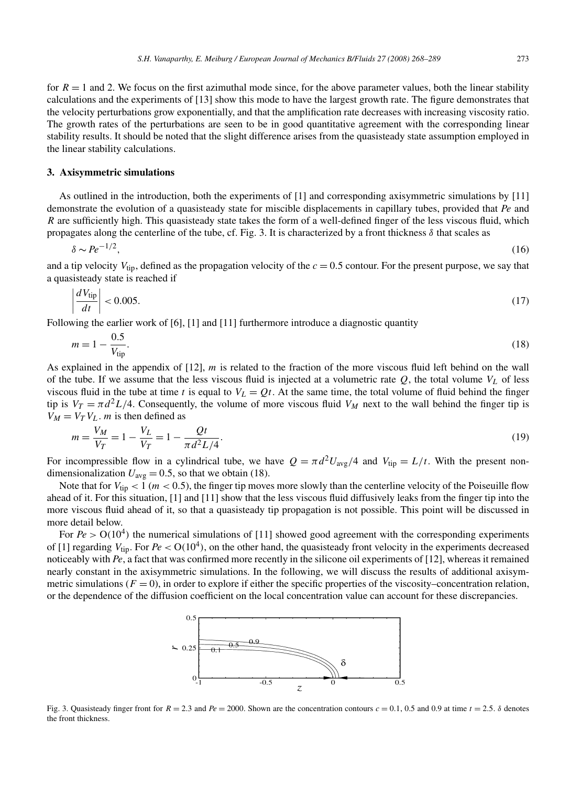for  $R = 1$  and 2. We focus on the first azimuthal mode since, for the above parameter values, both the linear stability calculations and the experiments of [13] show this mode to have the largest growth rate. The figure demonstrates that the velocity perturbations grow exponentially, and that the amplification rate decreases with increasing viscosity ratio. The growth rates of the perturbations are seen to be in good quantitative agreement with the corresponding linear stability results. It should be noted that the slight difference arises from the quasisteady state assumption employed in the linear stability calculations.

## **3. Axisymmetric simulations**

As outlined in the introduction, both the experiments of [1] and corresponding axisymmetric simulations by [11] demonstrate the evolution of a quasisteady state for miscible displacements in capillary tubes, provided that *Pe* and *R* are sufficiently high. This quasisteady state takes the form of a well-defined finger of the less viscous fluid, which propagates along the centerline of the tube, cf. Fig. 3. It is characterized by a front thickness  $\delta$  that scales as

$$
\delta \sim Pe^{-1/2},\tag{16}
$$

and a tip velocity  $V_{\text{tip}}$ , defined as the propagation velocity of the  $c = 0.5$  contour. For the present purpose, we say that a quasisteady state is reached if

$$
\left| \frac{dV_{\text{tip}}}{dt} \right| < 0.005. \tag{17}
$$

Following the earlier work of  $[6]$ ,  $[1]$  and  $[11]$  furthermore introduce a diagnostic quantity

$$
m = 1 - \frac{0.5}{V_{\text{tip}}}.\tag{18}
$$

As explained in the appendix of [12], *m* is related to the fraction of the more viscous fluid left behind on the wall of the tube. If we assume that the less viscous fluid is injected at a volumetric rate  $Q$ , the total volume  $V<sub>L</sub>$  of less viscous fluid in the tube at time *t* is equal to  $V_L = Qt$ . At the same time, the total volume of fluid behind the finger tip is  $V_T = \pi d^2 L/4$ . Consequently, the volume of more viscous fluid  $V_M$  next to the wall behind the finger tip is  $V_M = V_T V_L$ . *m* is then defined as

$$
m = \frac{V_M}{V_T} = 1 - \frac{V_L}{V_T} = 1 - \frac{Qt}{\pi d^2 L/4}.
$$
\n(19)

For incompressible flow in a cylindrical tube, we have  $Q = \pi d^2 U_{\text{avg}}/4$  and  $V_{\text{tip}} = L/t$ . With the present nondimensionalization  $U_{\text{avg}} = 0.5$ , so that we obtain (18).

Note that for  $V_{\text{tip}} < 1$  ( $m < 0.5$ ), the finger tip moves more slowly than the centerline velocity of the Poiseuille flow ahead of it. For this situation, [1] and [11] show that the less viscous fluid diffusively leaks from the finger tip into the more viscous fluid ahead of it, so that a quasisteady tip propagation is not possible. This point will be discussed in more detail below.

For  $Pe > O(10^4)$  the numerical simulations of [11] showed good agreement with the corresponding experiments of [1] regarding  $V_{\text{tip}}$ . For  $Pe < O(10^4)$ , on the other hand, the quasisteady front velocity in the experiments decreased noticeably with *Pe*, a fact that was confirmed more recently in the silicone oil experiments of [12], whereas it remained nearly constant in the axisymmetric simulations. In the following, we will discuss the results of additional axisymmetric simulations  $(F = 0)$ , in order to explore if either the specific properties of the viscosity–concentration relation, or the dependence of the diffusion coefficient on the local concentration value can account for these discrepancies.



Fig. 3. Quasisteady finger front for  $R = 2.3$  and  $Pe = 2000$ . Shown are the concentration contours  $c = 0.1$ , 0.5 and 0.9 at time  $t = 2.5$ .  $\delta$  denotes the front thickness.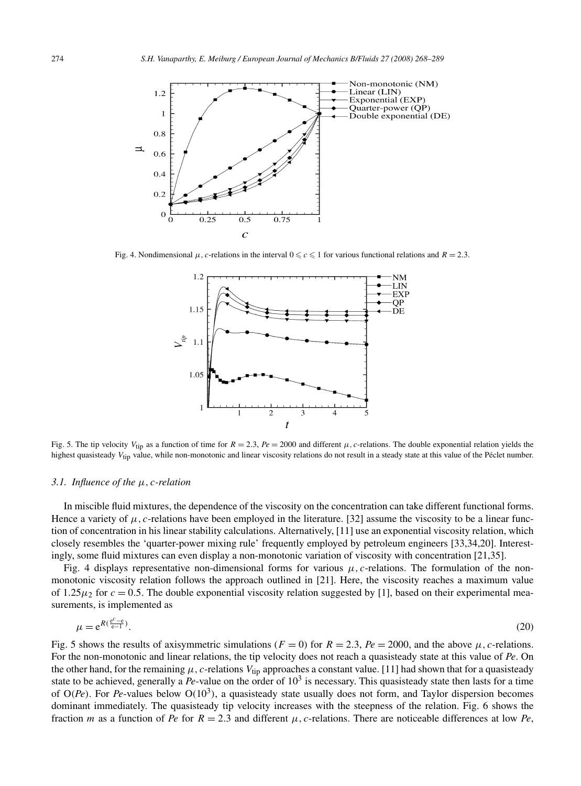

Fig. 4. Nondimensional  $\mu$ , *c*-relations in the interval  $0 \le c \le 1$  for various functional relations and  $R = 2.3$ .



Fig. 5. The tip velocity  $V_{\text{tip}}$  as a function of time for  $R = 2.3$ ,  $Pe = 2000$  and different  $\mu$ , c-relations. The double exponential relation yields the highest quasisteady V<sub>tip</sub> value, while non-monotonic and linear viscosity relations do not result in a steady state at this value of the Péclet number.

#### *3.1. Influence of the μ,c-relation*

In miscible fluid mixtures, the dependence of the viscosity on the concentration can take different functional forms. Hence a variety of  $\mu$ , c-relations have been employed in the literature. [32] assume the viscosity to be a linear function of concentration in his linear stability calculations. Alternatively, [11] use an exponential viscosity relation, which closely resembles the 'quarter-power mixing rule' frequently employed by petroleum engineers [33,34,20]. Interestingly, some fluid mixtures can even display a non-monotonic variation of viscosity with concentration [21,35].

Fig. 4 displays representative non-dimensional forms for various  $\mu$ , c-relations. The formulation of the nonmonotonic viscosity relation follows the approach outlined in [21]. Here, the viscosity reaches a maximum value of 1.25 $\mu_2$  for  $c = 0.5$ . The double exponential viscosity relation suggested by [1], based on their experimental measurements, is implemented as

$$
\mu = e^{R\left(\frac{e^c - e}{e - 1}\right)}.
$$
\n<sup>(20)</sup>

Fig. 5 shows the results of axisymmetric simulations ( $F = 0$ ) for  $R = 2.3$ ,  $Pe = 2000$ , and the above  $\mu$ , c-relations. For the non-monotonic and linear relations, the tip velocity does not reach a quasisteady state at this value of *Pe*. On the other hand, for the remaining  $\mu$ , c-relations  $V_{\text{tip}}$  approaches a constant value. [11] had shown that for a quasisteady state to be achieved, generally a *Pe*-value on the order of 10<sup>3</sup> is necessary. This quasisteady state then lasts for a time of  $O(P_e)$ . For *Pe*-values below  $O(10^3)$ , a quasisteady state usually does not form, and Taylor dispersion becomes dominant immediately. The quasisteady tip velocity increases with the steepness of the relation. Fig. 6 shows the fraction *m* as a function of *Pe* for  $R = 2.3$  and different  $\mu$ , c-relations. There are noticeable differences at low *Pe*,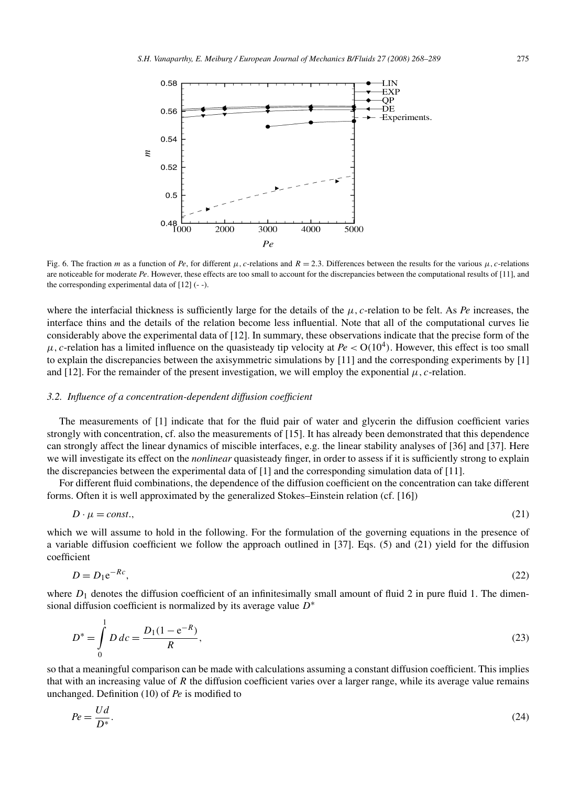

Fig. 6. The fraction *m* as a function of *Pe*, for different  $\mu$ , c-relations and  $R = 2.3$ . Differences between the results for the various  $\mu$ , c-relations are noticeable for moderate *Pe*. However, these effects are too small to account for the discrepancies between the computational results of [11], and the corresponding experimental data of [12] (- -).

where the interfacial thickness is sufficiently large for the details of the *μ,c*-relation to be felt. As *Pe* increases, the interface thins and the details of the relation become less influential. Note that all of the computational curves lie considerably above the experimental data of [12]. In summary, these observations indicate that the precise form of the  $μ$ , *c*-relation has a limited influence on the quasisteady tip velocity at  $Pe < O(10<sup>4</sup>)$ . However, this effect is too small to explain the discrepancies between the axisymmetric simulations by [11] and the corresponding experiments by [1] and [12]. For the remainder of the present investigation, we will employ the exponential  $\mu$ , *c*-relation.

## *3.2. Influence of a concentration-dependent diffusion coefficient*

The measurements of [1] indicate that for the fluid pair of water and glycerin the diffusion coefficient varies strongly with concentration, cf. also the measurements of [15]. It has already been demonstrated that this dependence can strongly affect the linear dynamics of miscible interfaces, e.g. the linear stability analyses of [36] and [37]. Here we will investigate its effect on the *nonlinear* quasisteady finger, in order to assess if it is sufficiently strong to explain the discrepancies between the experimental data of [1] and the corresponding simulation data of [11].

For different fluid combinations, the dependence of the diffusion coefficient on the concentration can take different forms. Often it is well approximated by the generalized Stokes–Einstein relation (cf. [16])

$$
D \cdot \mu = const.,\tag{21}
$$

which we will assume to hold in the following. For the formulation of the governing equations in the presence of a variable diffusion coefficient we follow the approach outlined in [37]. Eqs. (5) and (21) yield for the diffusion coefficient

$$
D = D_1 e^{-Rc},\tag{22}
$$

where  $D_1$  denotes the diffusion coefficient of an infinitesimally small amount of fluid 2 in pure fluid 1. The dimensional diffusion coefficient is normalized by its average value *D*∗

$$
D^* = \int_0^1 D \, d\mathfrak{c} = \frac{D_1 (1 - e^{-R})}{R},\tag{23}
$$

so that a meaningful comparison can be made with calculations assuming a constant diffusion coefficient. This implies that with an increasing value of *R* the diffusion coefficient varies over a larger range, while its average value remains unchanged. Definition (10) of *Pe* is modified to

$$
Pe = \frac{Ud}{D^*}.\tag{24}
$$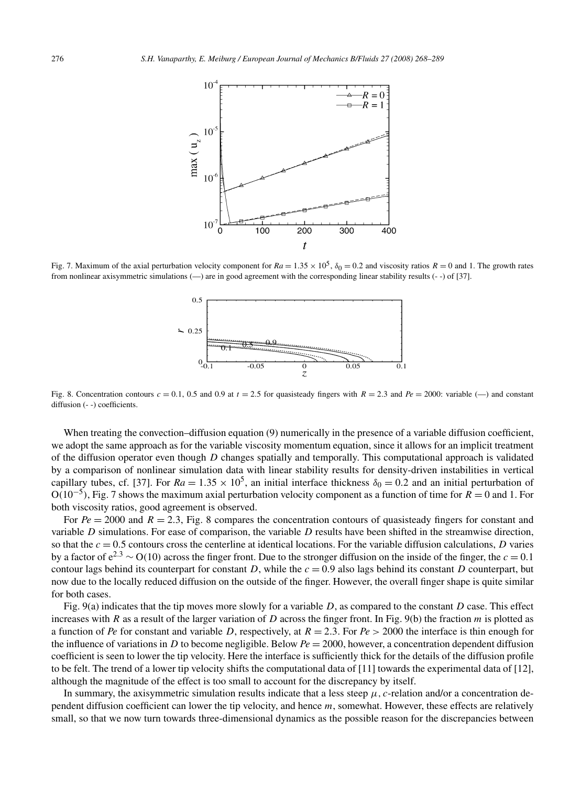

Fig. 7. Maximum of the axial perturbation velocity component for  $Ra = 1.35 \times 10^5$ ,  $\delta_0 = 0.2$  and viscosity ratios  $R = 0$  and 1. The growth rates from nonlinear axisymmetric simulations (—) are in good agreement with the corresponding linear stability results (- -) of [37].



Fig. 8. Concentration contours  $c = 0.1, 0.5$  and 0.9 at  $t = 2.5$  for quasisteady fingers with  $R = 2.3$  and  $Pe = 2000$ : variable (-) and constant diffusion (- -) coefficients.

When treating the convection–diffusion equation (9) numerically in the presence of a variable diffusion coefficient, we adopt the same approach as for the variable viscosity momentum equation, since it allows for an implicit treatment of the diffusion operator even though *D* changes spatially and temporally. This computational approach is validated by a comparison of nonlinear simulation data with linear stability results for density-driven instabilities in vertical capillary tubes, cf. [37]. For  $Ra = 1.35 \times 10^5$ , an initial interface thickness  $\delta_0 = 0.2$  and an initial perturbation of <sup>O</sup>*(*10−5*)*, Fig. 7 shows the maximum axial perturbation velocity component as a function of time for *<sup>R</sup>* <sup>=</sup> 0 and 1. For both viscosity ratios, good agreement is observed.

For  $Pe = 2000$  and  $R = 2.3$ , Fig. 8 compares the concentration contours of quasisteady fingers for constant and variable *D* simulations. For ease of comparison, the variable *D* results have been shifted in the streamwise direction, so that the  $c = 0.5$  contours cross the centerline at identical locations. For the variable diffusion calculations, *D* varies by a factor of  $e^{2.3} \sim O(10)$  across the finger front. Due to the stronger diffusion on the inside of the finger, the  $c = 0.1$ contour lags behind its counterpart for constant *D*, while the  $c = 0.9$  also lags behind its constant *D* counterpart, but now due to the locally reduced diffusion on the outside of the finger. However, the overall finger shape is quite similar for both cases.

Fig. 9(a) indicates that the tip moves more slowly for a variable *D*, as compared to the constant *D* case. This effect increases with *R* as a result of the larger variation of *D* across the finger front. In Fig. 9(b) the fraction *m* is plotted as a function of *Pe* for constant and variable *D*, respectively, at  $R = 2.3$ . For  $Pe > 2000$  the interface is thin enough for the influence of variations in *D* to become negligible. Below  $Pe = 2000$ , however, a concentration dependent diffusion coefficient is seen to lower the tip velocity. Here the interface is sufficiently thick for the details of the diffusion profile to be felt. The trend of a lower tip velocity shifts the computational data of [11] towards the experimental data of [12], although the magnitude of the effect is too small to account for the discrepancy by itself.

In summary, the axisymmetric simulation results indicate that a less steep  $\mu$ , c-relation and/or a concentration dependent diffusion coefficient can lower the tip velocity, and hence *m*, somewhat. However, these effects are relatively small, so that we now turn towards three-dimensional dynamics as the possible reason for the discrepancies between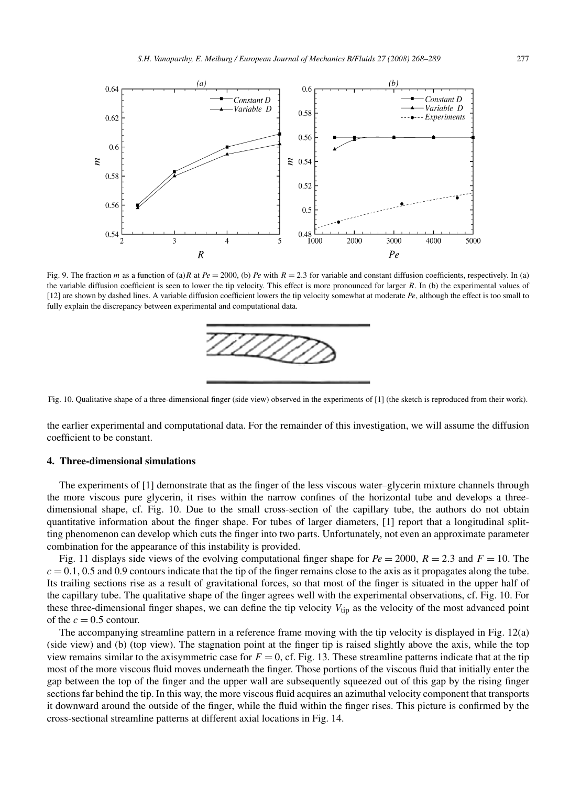

Fig. 9. The fraction *m* as a function of (a)*R* at  $Pe = 2000$ , (b)  $Pe$  with  $R = 2.3$  for variable and constant diffusion coefficients, respectively. In (a) the variable diffusion coefficient is seen to lower the tip velocity. This effect is more pronounced for larger *R*. In (b) the experimental values of [12] are shown by dashed lines. A variable diffusion coefficient lowers the tip velocity somewhat at moderate *Pe*, although the effect is too small to fully explain the discrepancy between experimental and computational data.



Fig. 10. Qualitative shape of a three-dimensional finger (side view) observed in the experiments of [1] (the sketch is reproduced from their work).

the earlier experimental and computational data. For the remainder of this investigation, we will assume the diffusion coefficient to be constant.

# **4. Three-dimensional simulations**

The experiments of [1] demonstrate that as the finger of the less viscous water–glycerin mixture channels through the more viscous pure glycerin, it rises within the narrow confines of the horizontal tube and develops a threedimensional shape, cf. Fig. 10. Due to the small cross-section of the capillary tube, the authors do not obtain quantitative information about the finger shape. For tubes of larger diameters, [1] report that a longitudinal splitting phenomenon can develop which cuts the finger into two parts. Unfortunately, not even an approximate parameter combination for the appearance of this instability is provided.

Fig. 11 displays side views of the evolving computational finger shape for  $Pe = 2000$ ,  $R = 2.3$  and  $F = 10$ . The  $c = 0.1, 0.5$  and 0.9 contours indicate that the tip of the finger remains close to the axis as it propagates along the tube. Its trailing sections rise as a result of gravitational forces, so that most of the finger is situated in the upper half of the capillary tube. The qualitative shape of the finger agrees well with the experimental observations, cf. Fig. 10. For these three-dimensional finger shapes, we can define the tip velocity *V*tip as the velocity of the most advanced point of the  $c = 0.5$  contour.

The accompanying streamline pattern in a reference frame moving with the tip velocity is displayed in Fig. 12(a) (side view) and (b) (top view). The stagnation point at the finger tip is raised slightly above the axis, while the top view remains similar to the axisymmetric case for  $F = 0$ , cf. Fig. 13. These streamline patterns indicate that at the tip most of the more viscous fluid moves underneath the finger. Those portions of the viscous fluid that initially enter the gap between the top of the finger and the upper wall are subsequently squeezed out of this gap by the rising finger sections far behind the tip. In this way, the more viscous fluid acquires an azimuthal velocity component that transports it downward around the outside of the finger, while the fluid within the finger rises. This picture is confirmed by the cross-sectional streamline patterns at different axial locations in Fig. 14.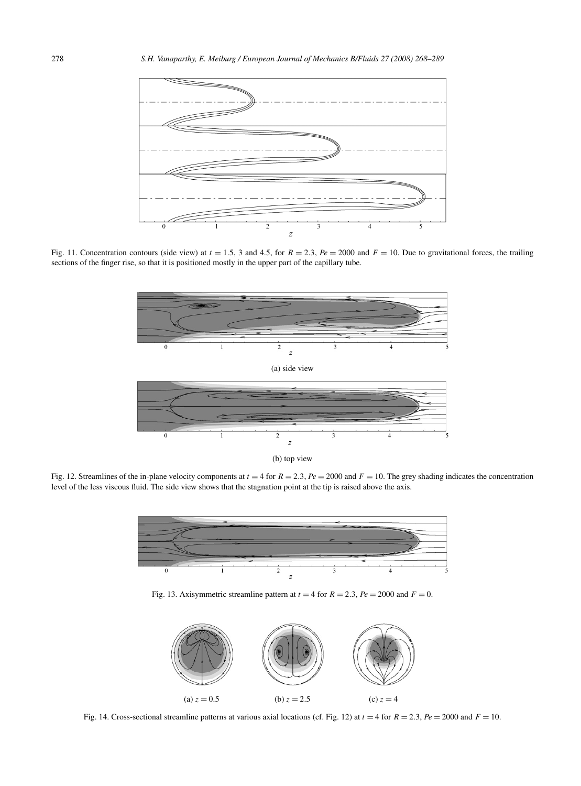

Fig. 11. Concentration contours (side view) at  $t = 1.5$ , 3 and 4.5, for  $R = 2.3$ ,  $Pe = 2000$  and  $F = 10$ . Due to gravitational forces, the trailing sections of the finger rise, so that it is positioned mostly in the upper part of the capillary tube.



(b) top view

Fig. 12. Streamlines of the in-plane velocity components at  $t = 4$  for  $R = 2.3$ ,  $Pe = 2000$  and  $F = 10$ . The grey shading indicates the concentration level of the less viscous fluid. The side view shows that the stagnation point at the tip is raised above the axis.



Fig. 13. Axisymmetric streamline pattern at  $t = 4$  for  $R = 2.3$ ,  $Pe = 2000$  and  $F = 0$ .



Fig. 14. Cross-sectional streamline patterns at various axial locations (cf. Fig. 12) at  $t = 4$  for  $R = 2.3$ ,  $Pe = 2000$  and  $F = 10$ .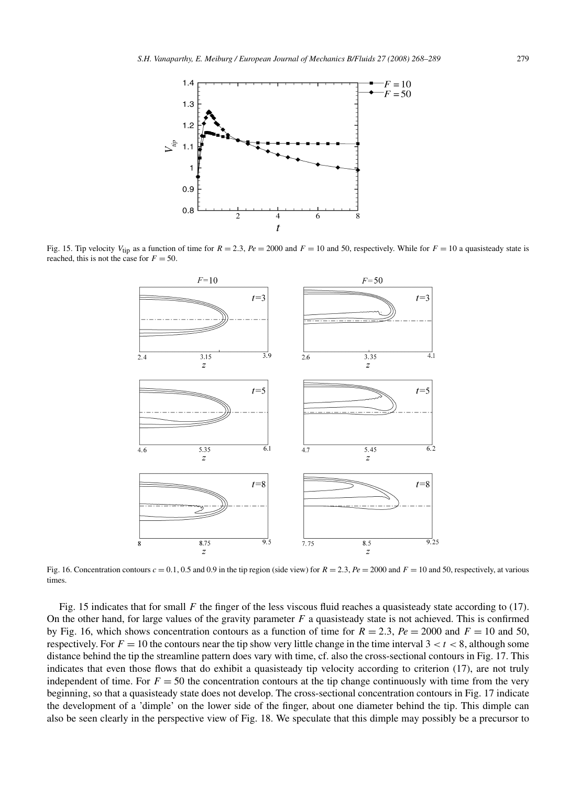

Fig. 15. Tip velocity  $V_{\text{tip}}$  as a function of time for  $R = 2.3$ ,  $Pe = 2000$  and  $F = 10$  and 50, respectively. While for  $F = 10$  a quasisteady state is reached, this is not the case for  $F = 50$ .



Fig. 16. Concentration contours  $c = 0.1, 0.5$  and 0.9 in the tip region (side view) for  $R = 2.3$ ,  $Pe = 2000$  and  $F = 10$  and 50, respectively, at various times.

Fig. 15 indicates that for small *F* the finger of the less viscous fluid reaches a quasisteady state according to (17). On the other hand, for large values of the gravity parameter *F* a quasisteady state is not achieved. This is confirmed by Fig. 16, which shows concentration contours as a function of time for  $R = 2.3$ ,  $Pe = 2000$  and  $F = 10$  and 50, respectively. For  $F = 10$  the contours near the tip show very little change in the time interval  $3 < t < 8$ , although some distance behind the tip the streamline pattern does vary with time, cf. also the cross-sectional contours in Fig. 17. This indicates that even those flows that do exhibit a quasisteady tip velocity according to criterion (17), are not truly independent of time. For  $F = 50$  the concentration contours at the tip change continuously with time from the very beginning, so that a quasisteady state does not develop. The cross-sectional concentration contours in Fig. 17 indicate the development of a 'dimple' on the lower side of the finger, about one diameter behind the tip. This dimple can also be seen clearly in the perspective view of Fig. 18. We speculate that this dimple may possibly be a precursor to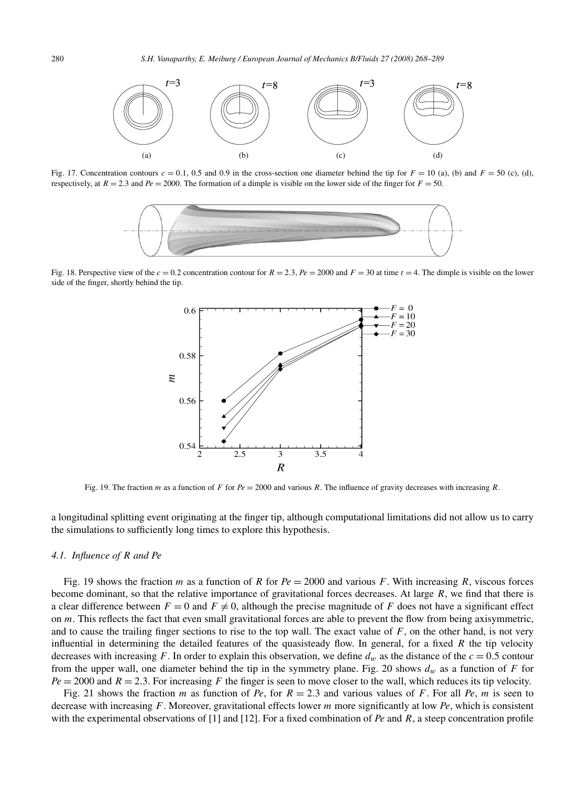

Fig. 17. Concentration contours  $c = 0.1$ , 0.5 and 0.9 in the cross-section one diameter behind the tip for  $F = 10$  (a), (b) and  $F = 50$  (c), (d), respectively, at  $R = 2.3$  and  $Pe = 2000$ . The formation of a dimple is visible on the lower side of the finger for  $F = 50$ .



Fig. 18. Perspective view of the  $c = 0.2$  concentration contour for  $R = 2.3$ ,  $Pe = 2000$  and  $F = 30$  at time  $t = 4$ . The dimple is visible on the lower side of the finger, shortly behind the tip.



Fig. 19. The fraction *m* as a function of *F* for  $Pe = 2000$  and various *R*. The influence of gravity decreases with increasing *R*.

a longitudinal splitting event originating at the finger tip, although computational limitations did not allow us to carry the simulations to sufficiently long times to explore this hypothesis.

## *4.1. Influence of R and Pe*

Fig. 19 shows the fraction *m* as a function of *R* for  $Pe = 2000$  and various *F*. With increasing *R*, viscous forces become dominant, so that the relative importance of gravitational forces decreases. At large *R*, we find that there is a clear difference between  $F = 0$  and  $F \neq 0$ , although the precise magnitude of *F* does not have a significant effect on *m*. This reflects the fact that even small gravitational forces are able to prevent the flow from being axisymmetric, and to cause the trailing finger sections to rise to the top wall. The exact value of  $F$ , on the other hand, is not very influential in determining the detailed features of the quasisteady flow. In general, for a fixed *R* the tip velocity decreases with increasing *F*. In order to explain this observation, we define  $d_w$  as the distance of the  $c = 0.5$  contour from the upper wall, one diameter behind the tip in the symmetry plane. Fig. 20 shows  $d_w$  as a function of *F* for  $Pe = 2000$  and  $R = 2.3$ . For increasing F the finger is seen to move closer to the wall, which reduces its tip velocity.

Fig. 21 shows the fraction *m* as function of *Pe*, for  $R = 2.3$  and various values of *F*. For all *Pe*, *m* is seen to decrease with increasing *F*. Moreover, gravitational effects lower *m* more significantly at low *Pe*, which is consistent with the experimental observations of [1] and [12]. For a fixed combination of *Pe* and *R*, a steep concentration profile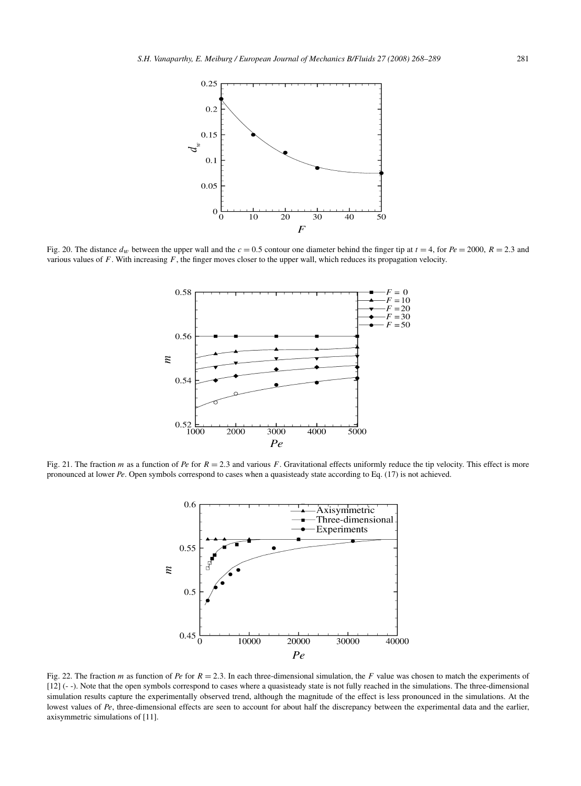

Fig. 20. The distance  $d_w$  between the upper wall and the  $c = 0.5$  contour one diameter behind the finger tip at  $t = 4$ , for  $Pe = 2000$ ,  $R = 2.3$  and various values of *F*. With increasing *F*, the finger moves closer to the upper wall, which reduces its propagation velocity.



Fig. 21. The fraction *m* as a function of *Pe* for  $R = 2.3$  and various *F*. Gravitational effects uniformly reduce the tip velocity. This effect is more pronounced at lower *Pe*. Open symbols correspond to cases when a quasisteady state according to Eq. (17) is not achieved.



Fig. 22. The fraction *m* as function of *Pe* for *R* = 2*.*3. In each three-dimensional simulation, the *F* value was chosen to match the experiments of [12] (- -). Note that the open symbols correspond to cases where a quasisteady state is not fully reached in the simulations. The three-dimensional simulation results capture the experimentally observed trend, although the magnitude of the effect is less pronounced in the simulations. At the lowest values of *Pe*, three-dimensional effects are seen to account for about half the discrepancy between the experimental data and the earlier, axisymmetric simulations of [11].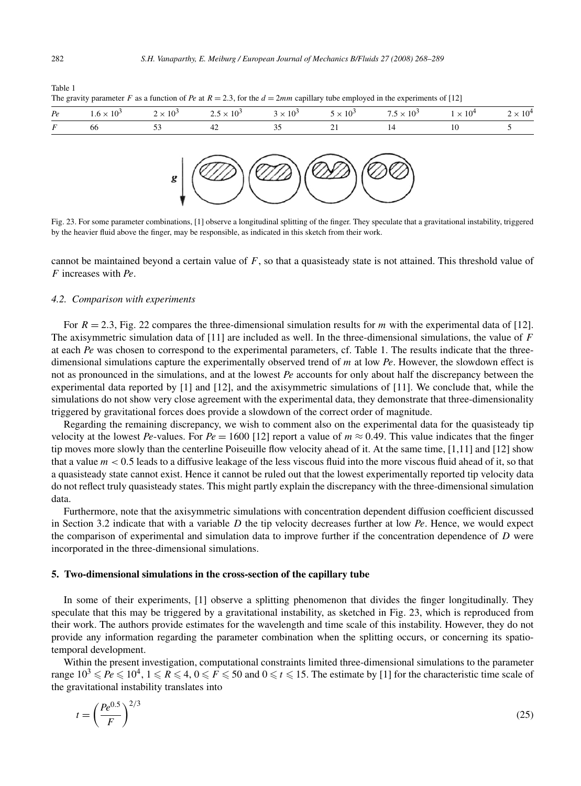| ۰. | ł<br>×<br>٧ |  |
|----|-------------|--|
|    |             |  |

Table 1

The gravity parameter *F* as a function of *Pe* at  $R = 2.3$ , for the  $d = 2mm$  capillary tube employed in the experiments of [12]





Fig. 23. For some parameter combinations, [1] observe a longitudinal splitting of the finger. They speculate that a gravitational instability, triggered by the heavier fluid above the finger, may be responsible, as indicated in this sketch from their work.

cannot be maintained beyond a certain value of *F*, so that a quasisteady state is not attained. This threshold value of *F* increases with *Pe*.

# *4.2. Comparison with experiments*

For  $R = 2.3$ , Fig. 22 compares the three-dimensional simulation results for *m* with the experimental data of [12]. The axisymmetric simulation data of [11] are included as well. In the three-dimensional simulations, the value of *F* at each *Pe* was chosen to correspond to the experimental parameters, cf. Table 1. The results indicate that the threedimensional simulations capture the experimentally observed trend of *m* at low *Pe*. However, the slowdown effect is not as pronounced in the simulations, and at the lowest *Pe* accounts for only about half the discrepancy between the experimental data reported by [1] and [12], and the axisymmetric simulations of [11]. We conclude that, while the simulations do not show very close agreement with the experimental data, they demonstrate that three-dimensionality triggered by gravitational forces does provide a slowdown of the correct order of magnitude.

Regarding the remaining discrepancy, we wish to comment also on the experimental data for the quasisteady tip velocity at the lowest *Pe*-values. For  $Pe = 1600$  [12] report a value of  $m \approx 0.49$ . This value indicates that the finger tip moves more slowly than the centerline Poiseuille flow velocity ahead of it. At the same time, [1,11] and [12] show that a value  $m < 0.5$  leads to a diffusive leakage of the less viscous fluid into the more viscous fluid ahead of it, so that a quasisteady state cannot exist. Hence it cannot be ruled out that the lowest experimentally reported tip velocity data do not reflect truly quasisteady states. This might partly explain the discrepancy with the three-dimensional simulation data.

Furthermore, note that the axisymmetric simulations with concentration dependent diffusion coefficient discussed in Section 3.2 indicate that with a variable *D* the tip velocity decreases further at low *Pe*. Hence, we would expect the comparison of experimental and simulation data to improve further if the concentration dependence of *D* were incorporated in the three-dimensional simulations.

## **5. Two-dimensional simulations in the cross-section of the capillary tube**

In some of their experiments, [1] observe a splitting phenomenon that divides the finger longitudinally. They speculate that this may be triggered by a gravitational instability, as sketched in Fig. 23, which is reproduced from their work. The authors provide estimates for the wavelength and time scale of this instability. However, they do not provide any information regarding the parameter combination when the splitting occurs, or concerning its spatiotemporal development.

Within the present investigation, computational constraints limited three-dimensional simulations to the parameter range  $10^3 \leqslant Pe \leqslant 10^4$ ,  $1 \leqslant R \leqslant 4$ ,  $0 \leqslant F \leqslant 50$  and  $0 \leqslant t \leqslant 15$ . The estimate by [1] for the characteristic time scale of the gravitational instability translates into

$$
t = \left(\frac{Pe^{0.5}}{F}\right)^{2/3} \tag{25}
$$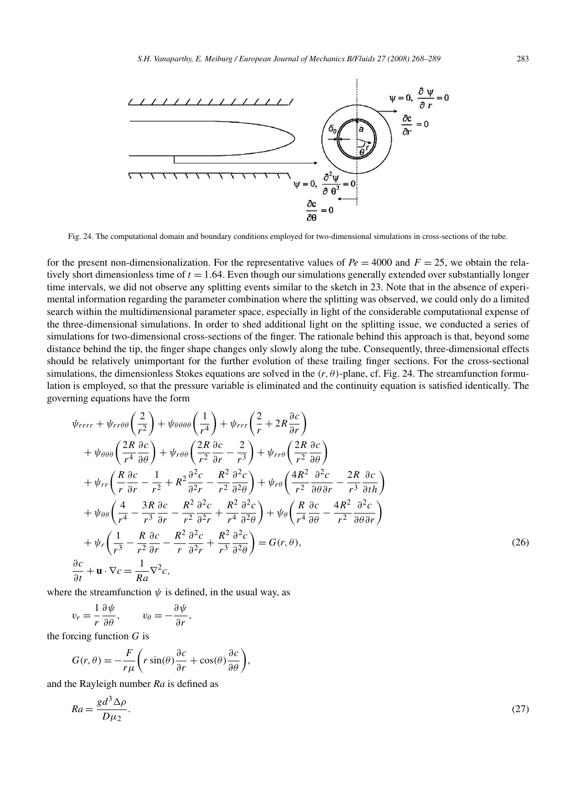

Fig. 24. The computational domain and boundary conditions employed for two-dimensional simulations in cross-sections of the tube.

for the present non-dimensionalization. For the representative values of  $Pe = 4000$  and  $F = 25$ , we obtain the relatively short dimensionless time of  $t = 1.64$ . Even though our simulations generally extended over substantially longer time intervals, we did not observe any splitting events similar to the sketch in 23. Note that in the absence of experimental information regarding the parameter combination where the splitting was observed, we could only do a limited search within the multidimensional parameter space, especially in light of the considerable computational expense of the three-dimensional simulations. In order to shed additional light on the splitting issue, we conducted a series of simulations for two-dimensional cross-sections of the finger. The rationale behind this approach is that, beyond some distance behind the tip, the finger shape changes only slowly along the tube. Consequently, three-dimensional effects should be relatively unimportant for the further evolution of these trailing finger sections. For the cross-sectional simulations, the dimensionless Stokes equations are solved in the  $(r, \theta)$ -plane, cf. Fig. 24. The streamfunction formulation is employed, so that the pressure variable is eliminated and the continuity equation is satisfied identically. The governing equations have the form

$$
\psi_{rrrr} + \psi_{rr\theta\theta} \left(\frac{2}{r^2}\right) + \psi_{\theta\theta\theta\theta} \left(\frac{1}{r^4}\right) + \psi_{rrr} \left(\frac{2}{r} + 2R\frac{\partial c}{\partial r}\right) \n+ \psi_{\theta\theta\theta} \left(\frac{2R}{r^4}\frac{\partial c}{\partial \theta}\right) + \psi_{r\theta\theta} \left(\frac{2R}{r^2}\frac{\partial c}{\partial r} - \frac{2}{r^3}\right) + \psi_{rr\theta} \left(\frac{2R}{r^2}\frac{\partial c}{\partial \theta}\right) \n+ \psi_{rr} \left(\frac{R}{r}\frac{\partial c}{\partial r} - \frac{1}{r^2} + R^2\frac{\partial^2 c}{\partial^2 r} - \frac{R^2}{r^2}\frac{\partial^2 c}{\partial^2 \theta}\right) + \psi_{r\theta} \left(\frac{4R^2}{r^2}\frac{\partial^2 c}{\partial \theta\partial r} - \frac{2R}{r^3}\frac{\partial c}{\partial t}\right) \n+ \psi_{\theta\theta} \left(\frac{4}{r^4} - \frac{3R}{r^3}\frac{\partial c}{\partial r} - \frac{R^2}{r^2}\frac{\partial^2 c}{\partial^2 r} + \frac{R^2}{r^4}\frac{\partial^2 c}{\partial^2 \theta}\right) + \psi_{\theta} \left(\frac{R}{r^4}\frac{\partial c}{\partial \theta} - \frac{4R^2}{r^2}\frac{\partial^2 c}{\partial \theta\partial r}\right) \n+ \psi_r \left(\frac{1}{r^3} - \frac{R}{r^2}\frac{\partial c}{\partial r} - \frac{R^2}{r}\frac{\partial^2 c}{\partial^2 r} + \frac{R^2}{r^3}\frac{\partial^2 c}{\partial \theta\partial \theta}\right) = G(r, \theta),
$$
\n
$$
\frac{\partial c}{\partial t} + \mathbf{u} \cdot \nabla c = \frac{1}{Ra}\nabla^2 c,
$$
\n(26)

where the streamfunction  $\psi$  is defined, in the usual way, as

$$
v_r = \frac{1}{r} \frac{\partial \psi}{\partial \theta}, \qquad v_\theta = -\frac{\partial \psi}{\partial r},
$$

the forcing function *G* is

$$
G(r,\theta) = -\frac{F}{r\mu} \left( r \sin(\theta) \frac{\partial c}{\partial r} + \cos(\theta) \frac{\partial c}{\partial \theta} \right),\,
$$

and the Rayleigh number *Ra* is defined as

$$
Ra = \frac{gd^3 \Delta \rho}{D\mu_2}.\tag{27}
$$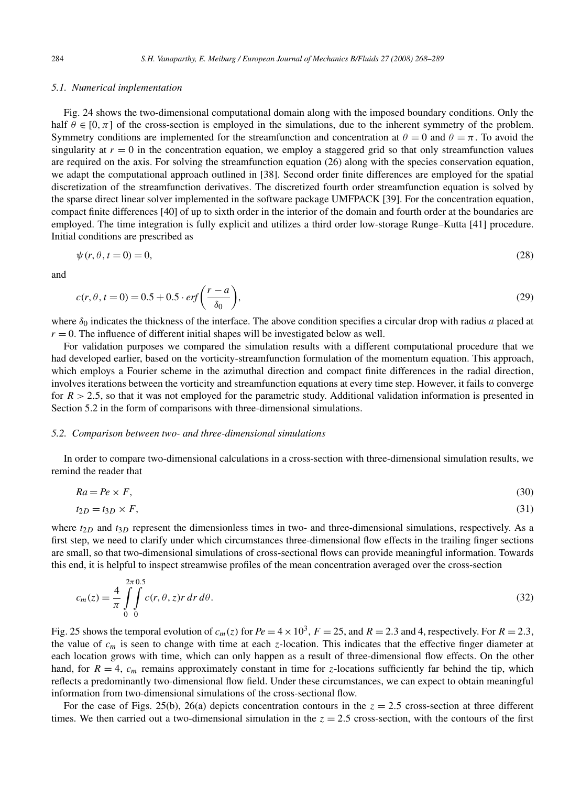## *5.1. Numerical implementation*

Fig. 24 shows the two-dimensional computational domain along with the imposed boundary conditions. Only the half  $\theta \in [0, \pi]$  of the cross-section is employed in the simulations, due to the inherent symmetry of the problem. Symmetry conditions are implemented for the streamfunction and concentration at  $\theta = 0$  and  $\theta = \pi$ . To avoid the singularity at  $r = 0$  in the concentration equation, we employ a staggered grid so that only streamfunction values are required on the axis. For solving the streamfunction equation (26) along with the species conservation equation, we adapt the computational approach outlined in [38]. Second order finite differences are employed for the spatial discretization of the streamfunction derivatives. The discretized fourth order streamfunction equation is solved by the sparse direct linear solver implemented in the software package UMFPACK [39]. For the concentration equation, compact finite differences [40] of up to sixth order in the interior of the domain and fourth order at the boundaries are employed. The time integration is fully explicit and utilizes a third order low-storage Runge–Kutta [41] procedure. Initial conditions are prescribed as

$$
\psi(r,\theta,t=0)=0,\tag{28}
$$

and

$$
c(r, \theta, t = 0) = 0.5 + 0.5 \cdot erf\left(\frac{r - a}{\delta_0}\right),\tag{29}
$$

where *δ*<sup>0</sup> indicates the thickness of the interface. The above condition specifies a circular drop with radius *a* placed at  $r = 0$ . The influence of different initial shapes will be investigated below as well.

For validation purposes we compared the simulation results with a different computational procedure that we had developed earlier, based on the vorticity-streamfunction formulation of the momentum equation. This approach, which employs a Fourier scheme in the azimuthal direction and compact finite differences in the radial direction, involves iterations between the vorticity and streamfunction equations at every time step. However, it fails to converge for  $R > 2.5$ , so that it was not employed for the parametric study. Additional validation information is presented in Section 5.2 in the form of comparisons with three-dimensional simulations.

#### *5.2. Comparison between two- and three-dimensional simulations*

In order to compare two-dimensional calculations in a cross-section with three-dimensional simulation results, we remind the reader that

$$
Ra = Pe \times F,\tag{30}
$$

$$
t_{2D} = t_{3D} \times F,\tag{31}
$$

where  $t_{2D}$  and  $t_{3D}$  represent the dimensionless times in two- and three-dimensional simulations, respectively. As a first step, we need to clarify under which circumstances three-dimensional flow effects in the trailing finger sections are small, so that two-dimensional simulations of cross-sectional flows can provide meaningful information. Towards this end, it is helpful to inspect streamwise profiles of the mean concentration averaged over the cross-section

$$
c_m(z) = \frac{4}{\pi} \int_{0}^{2\pi} \int_{0}^{0} c(r, \theta, z) r \, dr \, d\theta. \tag{32}
$$

Fig. 25 shows the temporal evolution of  $c_m(z)$  for  $Pe = 4 \times 10^3$ ,  $F = 25$ , and  $R = 2.3$  and 4, respectively. For  $R = 2.3$ , the value of *cm* is seen to change with time at each *z*-location. This indicates that the effective finger diameter at each location grows with time, which can only happen as a result of three-dimensional flow effects. On the other hand, for  $R = 4$ ,  $c_m$  remains approximately constant in time for *z*-locations sufficiently far behind the tip, which reflects a predominantly two-dimensional flow field. Under these circumstances, we can expect to obtain meaningful information from two-dimensional simulations of the cross-sectional flow.

For the case of Figs. 25(b), 26(a) depicts concentration contours in the  $z = 2.5$  cross-section at three different times. We then carried out a two-dimensional simulation in the  $z = 2.5$  cross-section, with the contours of the first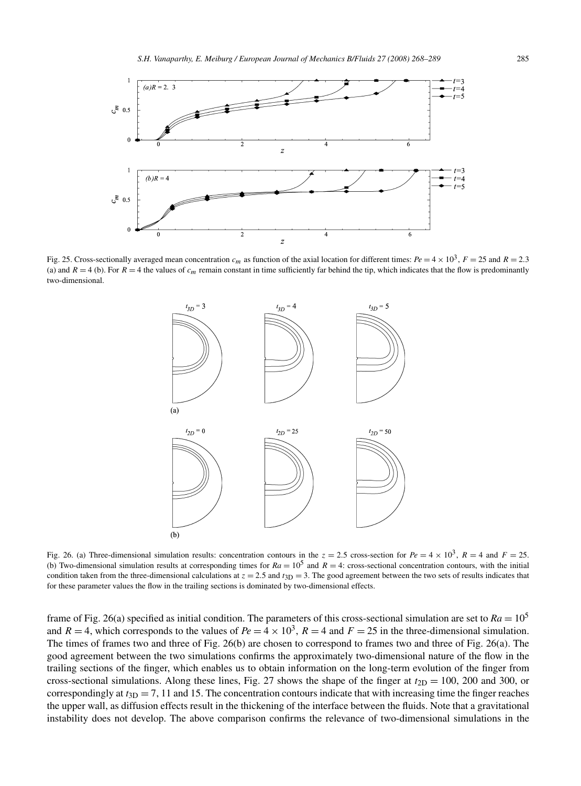

Fig. 25. Cross-sectionally averaged mean concentration  $c_m$  as function of the axial location for different times:  $Pe = 4 \times 10^3$ ,  $F = 25$  and  $R = 2.3$ (a) and  $R = 4$  (b). For  $R = 4$  the values of  $c_m$  remain constant in time sufficiently far behind the tip, which indicates that the flow is predominantly two-dimensional.



Fig. 26. (a) Three-dimensional simulation results: concentration contours in the  $z = 2.5$  cross-section for  $Pe = 4 \times 10^3$ ,  $R = 4$  and  $F = 25$ . (b) Two-dimensional simulation results at corresponding times for  $Ra = 10^5$  and  $R = 4$ : cross-sectional concentration contours, with the initial condition taken from the three-dimensional calculations at  $z = 2.5$  and  $t_{3D} = 3$ . The good agreement between the two sets of results indicates that for these parameter values the flow in the trailing sections is dominated by two-dimensional effects.

frame of Fig. 26(a) specified as initial condition. The parameters of this cross-sectional simulation are set to  $Ra = 10^5$ and  $R = 4$ , which corresponds to the values of  $Pe = 4 \times 10^3$ ,  $R = 4$  and  $F = 25$  in the three-dimensional simulation. The times of frames two and three of Fig. 26(b) are chosen to correspond to frames two and three of Fig. 26(a). The good agreement between the two simulations confirms the approximately two-dimensional nature of the flow in the trailing sections of the finger, which enables us to obtain information on the long-term evolution of the finger from cross-sectional simulations. Along these lines, Fig. 27 shows the shape of the finger at  $t_{2D} = 100$ , 200 and 300, or correspondingly at  $t_{3D} = 7$ , 11 and 15. The concentration contours indicate that with increasing time the finger reaches the upper wall, as diffusion effects result in the thickening of the interface between the fluids. Note that a gravitational instability does not develop. The above comparison confirms the relevance of two-dimensional simulations in the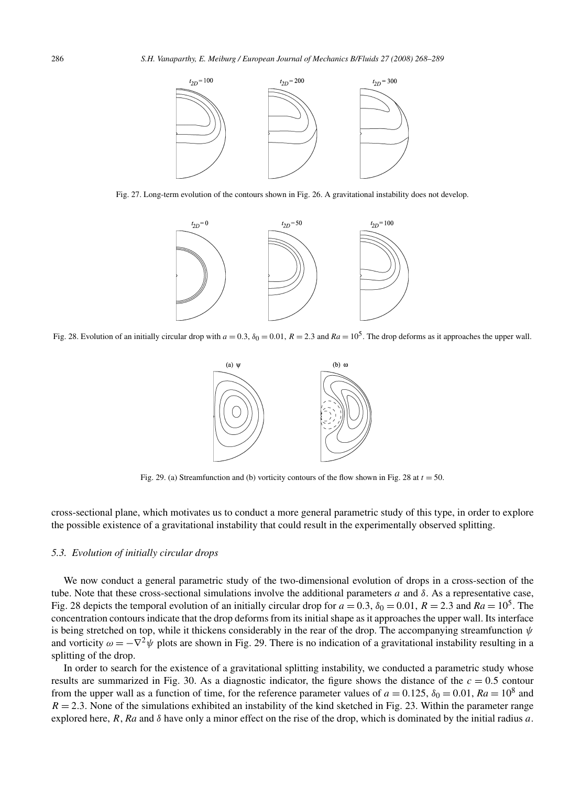

Fig. 27. Long-term evolution of the contours shown in Fig. 26. A gravitational instability does not develop.



Fig. 28. Evolution of an initially circular drop with  $a = 0.3$ ,  $\delta_0 = 0.01$ ,  $R = 2.3$  and  $Ra = 10^5$ . The drop deforms as it approaches the upper wall.



Fig. 29. (a) Streamfunction and (b) vorticity contours of the flow shown in Fig. 28 at  $t = 50$ .

cross-sectional plane, which motivates us to conduct a more general parametric study of this type, in order to explore the possible existence of a gravitational instability that could result in the experimentally observed splitting.

## *5.3. Evolution of initially circular drops*

We now conduct a general parametric study of the two-dimensional evolution of drops in a cross-section of the tube. Note that these cross-sectional simulations involve the additional parameters *a* and  $δ$ . As a representative case, Fig. 28 depicts the temporal evolution of an initially circular drop for  $a = 0.3$ ,  $\delta_0 = 0.01$ ,  $R = 2.3$  and  $Ra = 10^5$ . The concentration contours indicate that the drop deforms from its initial shape as it approaches the upper wall. Its interface is being stretched on top, while it thickens considerably in the rear of the drop. The accompanying streamfunction *ψ* and vorticity  $\omega = -\nabla^2 \psi$  plots are shown in Fig. 29. There is no indication of a gravitational instability resulting in a splitting of the drop.

In order to search for the existence of a gravitational splitting instability, we conducted a parametric study whose results are summarized in Fig. 30. As a diagnostic indicator, the figure shows the distance of the  $c = 0.5$  contour from the upper wall as a function of time, for the reference parameter values of  $a = 0.125$ ,  $\delta_0 = 0.01$ ,  $Ra = 10^8$  and  $R = 2.3$ . None of the simulations exhibited an instability of the kind sketched in Fig. 23. Within the parameter range explored here, *R*, *Ra* and *δ* have only a minor effect on the rise of the drop, which is dominated by the initial radius *a*.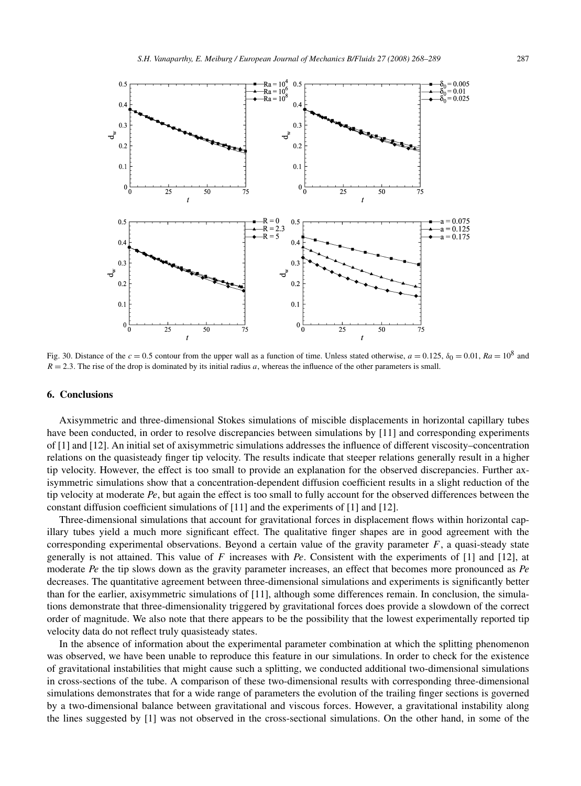

Fig. 30. Distance of the  $c = 0.5$  contour from the upper wall as a function of time. Unless stated otherwise,  $a = 0.125$ ,  $\delta_0 = 0.01$ ,  $Ra = 10^8$  and  $R = 2.3$ . The rise of the drop is dominated by its initial radius *a*, whereas the influence of the other parameters is small.

### **6. Conclusions**

Axisymmetric and three-dimensional Stokes simulations of miscible displacements in horizontal capillary tubes have been conducted, in order to resolve discrepancies between simulations by [11] and corresponding experiments of [1] and [12]. An initial set of axisymmetric simulations addresses the influence of different viscosity–concentration relations on the quasisteady finger tip velocity. The results indicate that steeper relations generally result in a higher tip velocity. However, the effect is too small to provide an explanation for the observed discrepancies. Further axisymmetric simulations show that a concentration-dependent diffusion coefficient results in a slight reduction of the tip velocity at moderate *Pe*, but again the effect is too small to fully account for the observed differences between the constant diffusion coefficient simulations of [11] and the experiments of [1] and [12].

Three-dimensional simulations that account for gravitational forces in displacement flows within horizontal capillary tubes yield a much more significant effect. The qualitative finger shapes are in good agreement with the corresponding experimental observations. Beyond a certain value of the gravity parameter  $F$ , a quasi-steady state generally is not attained. This value of *F* increases with *Pe*. Consistent with the experiments of [1] and [12], at moderate *Pe* the tip slows down as the gravity parameter increases, an effect that becomes more pronounced as *Pe* decreases. The quantitative agreement between three-dimensional simulations and experiments is significantly better than for the earlier, axisymmetric simulations of [11], although some differences remain. In conclusion, the simulations demonstrate that three-dimensionality triggered by gravitational forces does provide a slowdown of the correct order of magnitude. We also note that there appears to be the possibility that the lowest experimentally reported tip velocity data do not reflect truly quasisteady states.

In the absence of information about the experimental parameter combination at which the splitting phenomenon was observed, we have been unable to reproduce this feature in our simulations. In order to check for the existence of gravitational instabilities that might cause such a splitting, we conducted additional two-dimensional simulations in cross-sections of the tube. A comparison of these two-dimensional results with corresponding three-dimensional simulations demonstrates that for a wide range of parameters the evolution of the trailing finger sections is governed by a two-dimensional balance between gravitational and viscous forces. However, a gravitational instability along the lines suggested by [1] was not observed in the cross-sectional simulations. On the other hand, in some of the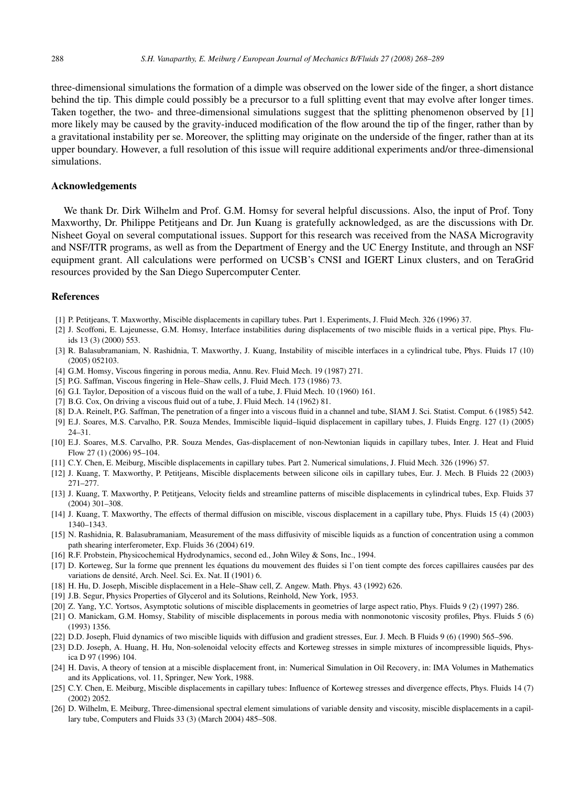three-dimensional simulations the formation of a dimple was observed on the lower side of the finger, a short distance behind the tip. This dimple could possibly be a precursor to a full splitting event that may evolve after longer times. Taken together, the two- and three-dimensional simulations suggest that the splitting phenomenon observed by [1] more likely may be caused by the gravity-induced modification of the flow around the tip of the finger, rather than by a gravitational instability per se. Moreover, the splitting may originate on the underside of the finger, rather than at its upper boundary. However, a full resolution of this issue will require additional experiments and/or three-dimensional simulations.

# **Acknowledgements**

We thank Dr. Dirk Wilhelm and Prof. G.M. Homsy for several helpful discussions. Also, the input of Prof. Tony Maxworthy, Dr. Philippe Petitjeans and Dr. Jun Kuang is gratefully acknowledged, as are the discussions with Dr. Nisheet Goyal on several computational issues. Support for this research was received from the NASA Microgravity and NSF/ITR programs, as well as from the Department of Energy and the UC Energy Institute, and through an NSF equipment grant. All calculations were performed on UCSB's CNSI and IGERT Linux clusters, and on TeraGrid resources provided by the San Diego Supercomputer Center.

# **References**

- [1] P. Petitjeans, T. Maxworthy, Miscible displacements in capillary tubes. Part 1. Experiments, J. Fluid Mech. 326 (1996) 37.
- [2] J. Scoffoni, E. Lajeunesse, G.M. Homsy, Interface instabilities during displacements of two miscible fluids in a vertical pipe, Phys. Fluids 13 (3) (2000) 553.
- [3] R. Balasubramaniam, N. Rashidnia, T. Maxworthy, J. Kuang, Instability of miscible interfaces in a cylindrical tube, Phys. Fluids 17 (10) (2005) 052103.
- [4] G.M. Homsy, Viscous fingering in porous media, Annu. Rev. Fluid Mech. 19 (1987) 271.
- [5] P.G. Saffman, Viscous fingering in Hele–Shaw cells, J. Fluid Mech. 173 (1986) 73.
- [6] G.I. Taylor, Deposition of a viscous fluid on the wall of a tube, J. Fluid Mech. 10 (1960) 161.
- [7] B.G. Cox, On driving a viscous fluid out of a tube, J. Fluid Mech. 14 (1962) 81.
- [8] D.A. Reinelt, P.G. Saffman, The penetration of a finger into a viscous fluid in a channel and tube, SIAM J. Sci. Statist. Comput. 6 (1985) 542.
- [9] E.J. Soares, M.S. Carvalho, P.R. Souza Mendes, Immiscible liquid–liquid displacement in capillary tubes, J. Fluids Engrg. 127 (1) (2005) 24–31.
- [10] E.J. Soares, M.S. Carvalho, P.R. Souza Mendes, Gas-displacement of non-Newtonian liquids in capillary tubes, Inter. J. Heat and Fluid Flow 27 (1) (2006) 95–104.
- [11] C.Y. Chen, E. Meiburg, Miscible displacements in capillary tubes. Part 2. Numerical simulations, J. Fluid Mech. 326 (1996) 57.
- [12] J. Kuang, T. Maxworthy, P. Petitjeans, Miscible displacements between silicone oils in capillary tubes, Eur. J. Mech. B Fluids 22 (2003) 271–277.
- [13] J. Kuang, T. Maxworthy, P. Petitjeans, Velocity fields and streamline patterns of miscible displacements in cylindrical tubes, Exp. Fluids 37 (2004) 301–308.
- [14] J. Kuang, T. Maxworthy, The effects of thermal diffusion on miscible, viscous displacement in a capillary tube, Phys. Fluids 15 (4) (2003) 1340–1343.
- [15] N. Rashidnia, R. Balasubramaniam, Measurement of the mass diffusivity of miscible liquids as a function of concentration using a common path shearing interferometer, Exp. Fluids 36 (2004) 619.
- [16] R.F. Probstein, Physicochemical Hydrodynamics, second ed., John Wiley & Sons, Inc., 1994.
- [17] D. Korteweg, Sur la forme que prennent les équations du mouvement des fluides si l'on tient compte des forces capillaires causées par des variations de densité, Arch. Neel. Sci. Ex. Nat. II (1901) 6.
- [18] H. Hu, D. Joseph, Miscible displacement in a Hele–Shaw cell, Z. Angew. Math. Phys. 43 (1992) 626.
- [19] J.B. Segur, Physics Properties of Glycerol and its Solutions, Reinhold, New York, 1953.
- [20] Z. Yang, Y.C. Yortsos, Asymptotic solutions of miscible displacements in geometries of large aspect ratio, Phys. Fluids 9 (2) (1997) 286.
- [21] O. Manickam, G.M. Homsy, Stability of miscible displacements in porous media with nonmonotonic viscosity profiles, Phys. Fluids 5 (6) (1993) 1356.
- [22] D.D. Joseph, Fluid dynamics of two miscible liquids with diffusion and gradient stresses, Eur. J. Mech. B Fluids 9 (6) (1990) 565–596.
- [23] D.D. Joseph, A. Huang, H. Hu, Non-solenoidal velocity effects and Korteweg stresses in simple mixtures of incompressible liquids, Physica D 97 (1996) 104.
- [24] H. Davis, A theory of tension at a miscible displacement front, in: Numerical Simulation in Oil Recovery, in: IMA Volumes in Mathematics and its Applications, vol. 11, Springer, New York, 1988.
- [25] C.Y. Chen, E. Meiburg, Miscible displacements in capillary tubes: Influence of Korteweg stresses and divergence effects, Phys. Fluids 14 (7) (2002) 2052.
- [26] D. Wilhelm, E. Meiburg, Three-dimensional spectral element simulations of variable density and viscosity, miscible displacements in a capillary tube, Computers and Fluids 33 (3) (March 2004) 485–508.